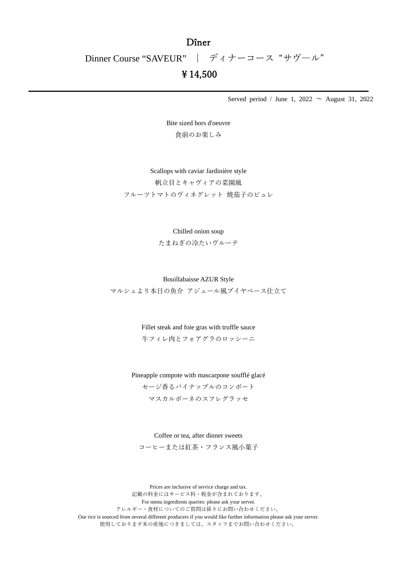## Dîner Dinner Course "SAVEUR" | ディナーコース "サヴ―ル"

## ¥14,500

Served period / June 1,  $2022 \sim$  August 31, 2022

Bite sized hors d'oeuvre 食前のお楽しみ

Scallops with caviar Jardinière style 帆立貝とキャヴィアの菜園風 フルーツトマトのヴィネグレット 焼茄子のピュレ

### Chilled onion soup

たまねぎの冷たいヴルーテ

### Bouillabaisse AZUR Style

マルシェより本日の魚介 アジュール風ブイヤベース仕立て

Fillet steak and foie gras with truffle sauce 牛フィレ肉とフォアグラのロッシーニ

Pineapple compote with mascarpone soufflé glacé

セージ香るパイナップルのコンポート マスカルポーネのスフレグラッセ

Coffee or tea, after dinner sweets

コーヒーまたは紅茶・フランス風小菓子

Prices are inclusive of service charge and tax. 記載の料金にはサービス料・税金が含まれております。 For menu ingredients queries: please ask your server. アレルギー・食材についてのご質問は係りにお問い合わせください。 Our rice is sourced from several different producers if you would like further information please ask your server. 使用しております米の産地につきましては、スタッフまでお問い合わせください。